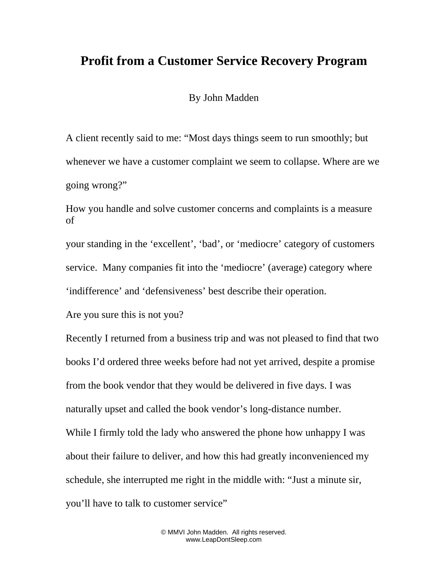## **Profit from a Customer Service Recovery Program**

By John Madden

A client recently said to me: "Most days things seem to run smoothly; but whenever we have a customer complaint we seem to collapse. Where are we going wrong?"

How you handle and solve customer concerns and complaints is a measure of

your standing in the 'excellent', 'bad', or 'mediocre' category of customers service. Many companies fit into the 'mediocre' (average) category where 'indifference' and 'defensiveness' best describe their operation.

Are you sure this is not you?

Recently I returned from a business trip and was not pleased to find that two books I'd ordered three weeks before had not yet arrived, despite a promise from the book vendor that they would be delivered in five days. I was naturally upset and called the book vendor's long-distance number. While I firmly told the lady who answered the phone how unhappy I was about their failure to deliver, and how this had greatly inconvenienced my schedule, she interrupted me right in the middle with: "Just a minute sir, you'll have to talk to customer service"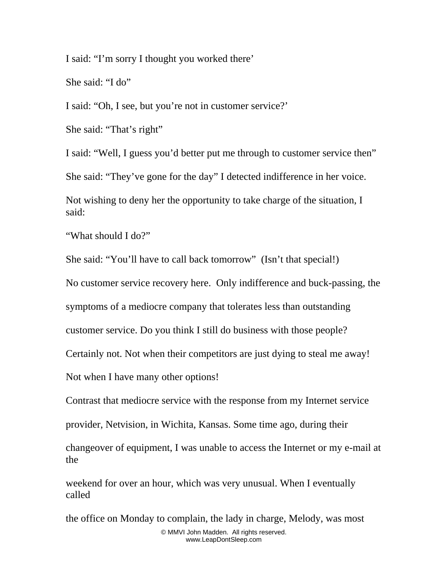I said: "I'm sorry I thought you worked there'

She said: "I do"

I said: "Oh, I see, but you're not in customer service?'

She said: "That's right"

I said: "Well, I guess you'd better put me through to customer service then"

She said: "They've gone for the day" I detected indifference in her voice.

Not wishing to deny her the opportunity to take charge of the situation, I said:

"What should I do?"

She said: "You'll have to call back tomorrow" (Isn't that special!)

No customer service recovery here. Only indifference and buck-passing, the

symptoms of a mediocre company that tolerates less than outstanding

customer service. Do you think I still do business with those people?

Certainly not. Not when their competitors are just dying to steal me away!

Not when I have many other options!

Contrast that mediocre service with the response from my Internet service

provider, Netvision, in Wichita, Kansas. Some time ago, during their

changeover of equipment, I was unable to access the Internet or my e-mail at the

weekend for over an hour, which was very unusual. When I eventually called

the office on Monday to complain, the lady in charge, Melody, was most © MMVI John Madden. All rights reserved. www.LeapDontSleep.com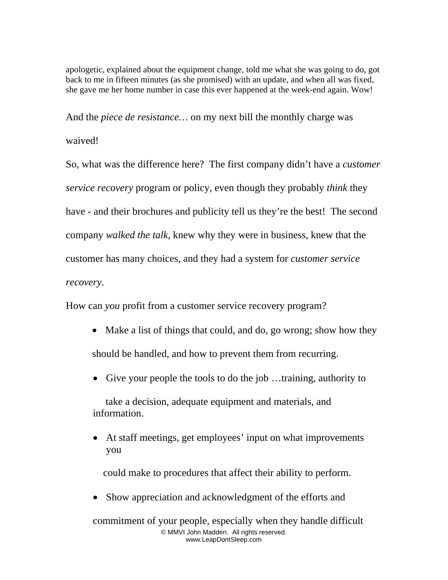apologetic, explained about the equipment change, told me what she was going to do, got back to me in fifteen minutes (as she promised) with an update, and when all was fixed, she gave me her home number in case this ever happened at the week-end again. Wow!

And the *piece de resistance…* on my next bill the monthly charge was

## waived!

So, what was the difference here? The first company didn't have a *customer service recovery* program or policy, even though they probably *think* they have - and their brochures and publicity tell us they're the best! The second company *walked the talk*, knew why they were in business, knew that the customer has many choices, and they had a system for *customer service recovery*.

How can *you* profit from a customer service recovery program?

- Make a list of things that could, and do, go wrong; show how they should be handled, and how to prevent them from recurring.
- Give your people the tools to do the job ...training, authority to

 take a decision, adequate equipment and materials, and information.

• At staff meetings, get employees' input on what improvements you

could make to procedures that affect their ability to perform.

• Show appreciation and acknowledgment of the efforts and

commitment of your people, especially when they handle difficult © MMVI John Madden. All rights reserved. www.LeapDontSleep.com